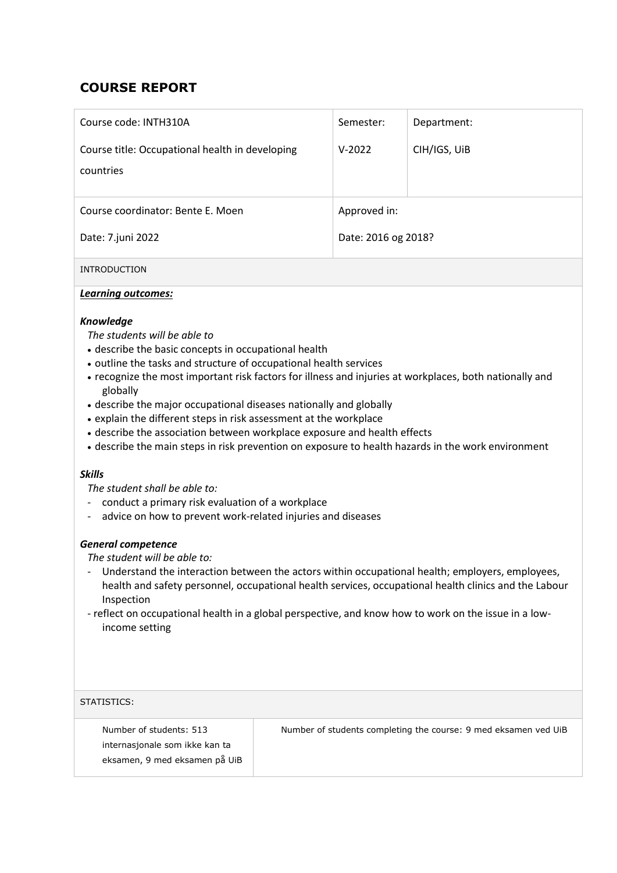# **COURSE REPORT**

| Course code: INTH310A                                        | Semester:           | Department:  |  |
|--------------------------------------------------------------|---------------------|--------------|--|
| Course title: Occupational health in developing<br>countries | $V-2022$            | CIH/IGS, UIB |  |
| Course coordinator: Bente E. Moen                            | Approved in:        |              |  |
| Date: 7.juni 2022                                            | Date: 2016 og 2018? |              |  |

INTRODUCTION

## *Learning outcomes:*

## *Knowledge*

*The students will be able to*

- describe the basic concepts in occupational health
- outline the tasks and structure of occupational health services
- recognize the most important risk factors for illness and injuries at workplaces, both nationally and globally
- describe the major occupational diseases nationally and globally
- explain the different steps in risk assessment at the workplace
- describe the association between workplace exposure and health effects
- describe the main steps in risk prevention on exposure to health hazards in the work environment

#### *Skills*

*The student shall be able to:*

- conduct a primary risk evaluation of a workplace
- advice on how to prevent work-related injuries and diseases

#### *General competence*

*The student will be able to:*

- Understand the interaction between the actors within occupational health; employers, employees, health and safety personnel, occupational health services, occupational health clinics and the Labour Inspection
- reflect on occupational health in a global perspective, and know how to work on the issue in a lowincome setting

| STATISTICS:                                                                                |                                                                 |
|--------------------------------------------------------------------------------------------|-----------------------------------------------------------------|
| Number of students: 513<br>internasjonale som ikke kan ta<br>eksamen, 9 med eksamen på UiB | Number of students completing the course: 9 med eksamen ved UiB |